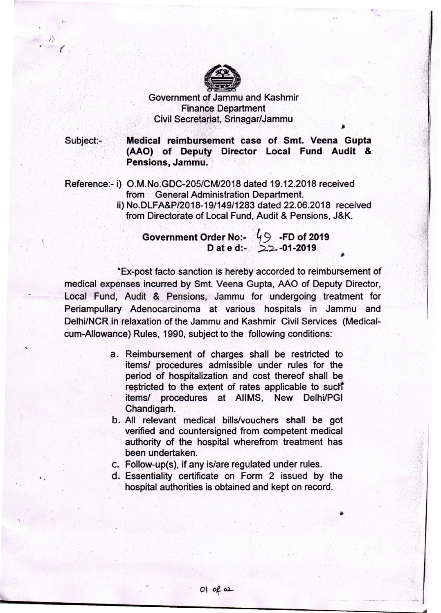

 $\sqrt{2}$ 

.. w,

> .  $-2513$ .j ,.j ·1

Government of Jammu and Kashmir .: . Finance Department Civil Secretariat, Srinagar/Jammu

Subject:- Medical reimbursement case of Smt. Veena Gupta (AAO) of Deputy Director Local Fund Audit & Pensions, Jammu.

Reference:- i) O.M.No.GDC-205/CM/2018 dated 19.12.2018 received from General Administration Department.

ii) No.DLFA&P/2018-19/149/1283 dated 22.06.2018 received from Directorate of Local Fund, Audit & Pensions, J&K.

Government Order No:-  $^{'}\!\!/\!\!\:9\,$  -FD of 2019 D at e d:-  $2.2 - 01-2019$ 

"Ex-post facto sanction is' hereby accorded to reimbursement of medical expenses incurred by Smt. Veena Gupta, AAO of Deputy Director, Local Fund, Audit & Pensions, Jammu for undergoing treatment for Periampullary Adenocarcinoma at various hospitals in Jammu and Delhi/NCR in relaxation of the Jammu and Kashmir Civil Services (Medicalcum-Allowance) Rules, 1990, subject to the following conditions:

- a. Reimbursement of charges shall. be restricted to items/ procedures admissible under rules for the period of hospitalization and cost thereof shall be . restricted to the extent of rates applicable to such items/ procedures at AIIMS, New Delhi/PGI Chandigarh.
- b. All relevant medical bills/vouchers shall be got verified and countersigned from competent medical authority of the hospital wherefrom treatment has been undertaken.
- c. Follow-up(s), if any is/are regulated under rules.

 $01$  of  $a2$ 

d. Essentiality certificate on Form 2 issued by the hospital authorities is obtained and kept on record.